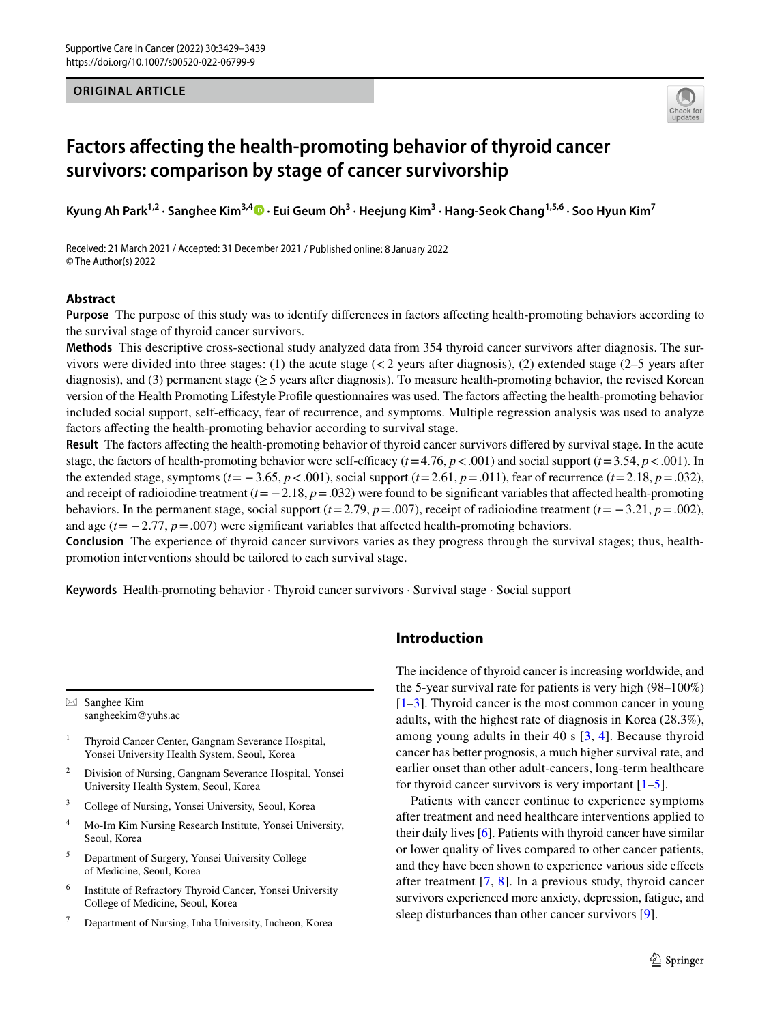#### **ORIGINAL ARTICLE**



# **Factors afecting the health‑promoting behavior of thyroid cancer survivors: comparison by stage of cancer survivorship**

**Kyung Ah Park1,2 · Sanghee Kim3,4 · Eui Geum Oh3 · Heejung Kim3 · Hang‑Seok Chang1,5,6 · Soo Hyun Kim7**

Received: 21 March 2021 / Accepted: 31 December 2021 / Published online: 8 January 2022 © The Author(s) 2022

## **Abstract**

**Purpose** The purpose of this study was to identify differences in factors affecting health-promoting behaviors according to the survival stage of thyroid cancer survivors.

**Methods** This descriptive cross-sectional study analyzed data from 354 thyroid cancer survivors after diagnosis. The survivors were divided into three stages: (1) the acute stage  $\ll$  2 years after diagnosis), (2) extended stage (2–5 years after diagnosis), and (3) permanent stage ( $\geq$  5 years after diagnosis). To measure health-promoting behavior, the revised Korean version of the Health Promoting Lifestyle Profle questionnaires was used. The factors afecting the health-promoting behavior included social support, self-efficacy, fear of recurrence, and symptoms. Multiple regression analysis was used to analyze factors affecting the health-promoting behavior according to survival stage.

**Result** The factors afecting the health-promoting behavior of thyroid cancer survivors difered by survival stage. In the acute stage, the factors of health-promoting behavior were self-efficacy  $(t=4.76, p < .001)$  and social support  $(t=3.54, p < .001)$ . In the extended stage, symptoms ( $t = -3.65$ ,  $p < .001$ ), social support ( $t = 2.61$ ,  $p = .011$ ), fear of recurrence ( $t = 2.18$ ,  $p = .032$ ), and receipt of radioiodine treatment  $(t = -2.18, p = .032)$  were found to be significant variables that affected health-promoting behaviors. In the permanent stage, social support ( $t = 2.79$ ,  $p = .007$ ), receipt of radioiodine treatment ( $t = -3.21$ ,  $p = .002$ ), and age  $(t = -2.77, p = .007)$  were significant variables that affected health-promoting behaviors.

**Conclusion** The experience of thyroid cancer survivors varies as they progress through the survival stages; thus, healthpromotion interventions should be tailored to each survival stage.

**Keywords** Health-promoting behavior · Thyroid cancer survivors · Survival stage · Social support

 $\boxtimes$  Sanghee Kim sangheekim@yuhs.ac

<sup>1</sup> Thyroid Cancer Center, Gangnam Severance Hospital, Yonsei University Health System, Seoul, Korea

- <sup>2</sup> Division of Nursing, Gangnam Severance Hospital, Yonsei University Health System, Seoul, Korea
- <sup>3</sup> College of Nursing, Yonsei University, Seoul, Korea
- <sup>4</sup> Mo-Im Kim Nursing Research Institute, Yonsei University, Seoul, Korea
- <sup>5</sup> Department of Surgery, Yonsei University College of Medicine, Seoul, Korea
- <sup>6</sup> Institute of Refractory Thyroid Cancer, Yonsei University College of Medicine, Seoul, Korea
- Department of Nursing, Inha University, Incheon, Korea

# **Introduction**

The incidence of thyroid cancer is increasing worldwide, and the 5-year survival rate for patients is very high (98–100%)  $[1-3]$  $[1-3]$ . Thyroid cancer is the most common cancer in young adults, with the highest rate of diagnosis in Korea (28.3%), among young adults in their 40 s [[3,](#page-9-0) [4\]](#page-9-1). Because thyroid cancer has better prognosis, a much higher survival rate, and earlier onset than other adult-cancers, long-term healthcare for thyroid cancer survivors is very important  $[1-5]$  $[1-5]$ .

Patients with cancer continue to experience symptoms after treatment and need healthcare interventions applied to their daily lives [\[6\]](#page-9-3). Patients with thyroid cancer have similar or lower quality of lives compared to other cancer patients, and they have been shown to experience various side efects after treatment [[7](#page-9-4), [8](#page-9-5)]. In a previous study, thyroid cancer survivors experienced more anxiety, depression, fatigue, and sleep disturbances than other cancer survivors [[9\]](#page-9-6).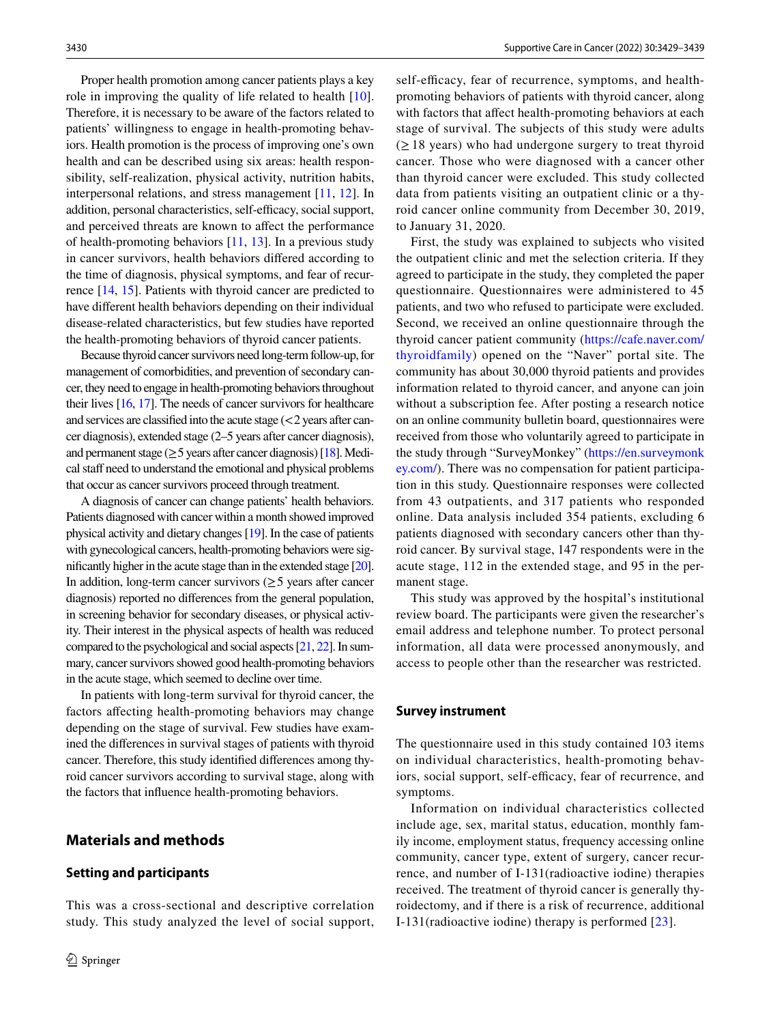Proper health promotion among cancer patients plays a key role in improving the quality of life related to health [\[10](#page-9-7)]. Therefore, it is necessary to be aware of the factors related to patients' willingness to engage in health-promoting behaviors. Health promotion is the process of improving one's own health and can be described using six areas: health responsibility, self-realization, physical activity, nutrition habits, interpersonal relations, and stress management [[11,](#page-9-8) [12](#page-9-9)]. In addition, personal characteristics, self-efficacy, social support, and perceived threats are known to afect the performance of health-promoting behaviors  $[11, 13]$  $[11, 13]$  $[11, 13]$  $[11, 13]$ . In a previous study in cancer survivors, health behaviors difered according to the time of diagnosis, physical symptoms, and fear of recurrence [[14,](#page-9-11) [15\]](#page-9-12). Patients with thyroid cancer are predicted to have diferent health behaviors depending on their individual disease-related characteristics, but few studies have reported the health-promoting behaviors of thyroid cancer patients.

Because thyroid cancer survivors need long-term follow-up, for management of comorbidities, and prevention of secondary cancer, they need to engage in health-promoting behaviors throughout their lives [\[16](#page-9-13), [17](#page-9-14)]. The needs of cancer survivors for healthcare and services are classified into the acute stage  $\left($  < 2 years after cancer diagnosis), extended stage (2–5 years after cancer diagnosis), and permanent stage ( $\geq$  5 years after cancer diagnosis) [\[18](#page-9-15)]. Medical staff need to understand the emotional and physical problems that occur as cancer survivors proceed through treatment.

A diagnosis of cancer can change patients' health behaviors. Patients diagnosed with cancer within a month showed improved physical activity and dietary changes [\[19](#page-9-16)]. In the case of patients with gynecological cancers, health-promoting behaviors were signifcantly higher in the acute stage than in the extended stage [\[20\]](#page-9-17). In addition, long-term cancer survivors  $(≥ 5$  years after cancer diagnosis) reported no diferences from the general population, in screening behavior for secondary diseases, or physical activity. Their interest in the physical aspects of health was reduced compared to the psychological and social aspects [[21,](#page-9-18) [22](#page-9-19)]. In summary, cancer survivors showed good health-promoting behaviors in the acute stage, which seemed to decline over time.

In patients with long-term survival for thyroid cancer, the factors afecting health-promoting behaviors may change depending on the stage of survival. Few studies have examined the diferences in survival stages of patients with thyroid cancer. Therefore, this study identifed diferences among thyroid cancer survivors according to survival stage, along with the factors that infuence health-promoting behaviors.

# **Materials and methods**

#### **Setting and participants**

This was a cross-sectional and descriptive correlation study. This study analyzed the level of social support, self-efficacy, fear of recurrence, symptoms, and healthpromoting behaviors of patients with thyroid cancer, along with factors that afect health-promoting behaviors at each stage of survival. The subjects of this study were adults  $(\geq 18$  years) who had undergone surgery to treat thyroid cancer. Those who were diagnosed with a cancer other than thyroid cancer were excluded. This study collected data from patients visiting an outpatient clinic or a thyroid cancer online community from December 30, 2019, to January 31, 2020.

First, the study was explained to subjects who visited the outpatient clinic and met the selection criteria. If they agreed to participate in the study, they completed the paper questionnaire. Questionnaires were administered to 45 patients, and two who refused to participate were excluded. Second, we received an online questionnaire through the thyroid cancer patient community ([https://cafe.naver.com/](https://cafe.naver.com/thyroidfamily) [thyroidfamily](https://cafe.naver.com/thyroidfamily)) opened on the "Naver" portal site. The community has about 30,000 thyroid patients and provides information related to thyroid cancer, and anyone can join without a subscription fee. After posting a research notice on an online community bulletin board, questionnaires were received from those who voluntarily agreed to participate in the study through "SurveyMonkey" ([https://en.surveymonk](https://en.surveymonkey.com/) [ey.com/\)](https://en.surveymonkey.com/). There was no compensation for patient participation in this study. Questionnaire responses were collected from 43 outpatients, and 317 patients who responded online. Data analysis included 354 patients, excluding 6 patients diagnosed with secondary cancers other than thyroid cancer. By survival stage, 147 respondents were in the acute stage, 112 in the extended stage, and 95 in the permanent stage.

This study was approved by the hospital's institutional review board. The participants were given the researcher's email address and telephone number. To protect personal information, all data were processed anonymously, and access to people other than the researcher was restricted.

#### **Survey instrument**

The questionnaire used in this study contained 103 items on individual characteristics, health-promoting behaviors, social support, self-efficacy, fear of recurrence, and symptoms.

Information on individual characteristics collected include age, sex, marital status, education, monthly family income, employment status, frequency accessing online community, cancer type, extent of surgery, cancer recurrence, and number of I-131(radioactive iodine) therapies received. The treatment of thyroid cancer is generally thyroidectomy, and if there is a risk of recurrence, additional I-131(radioactive iodine) therapy is performed [\[23\]](#page-9-20).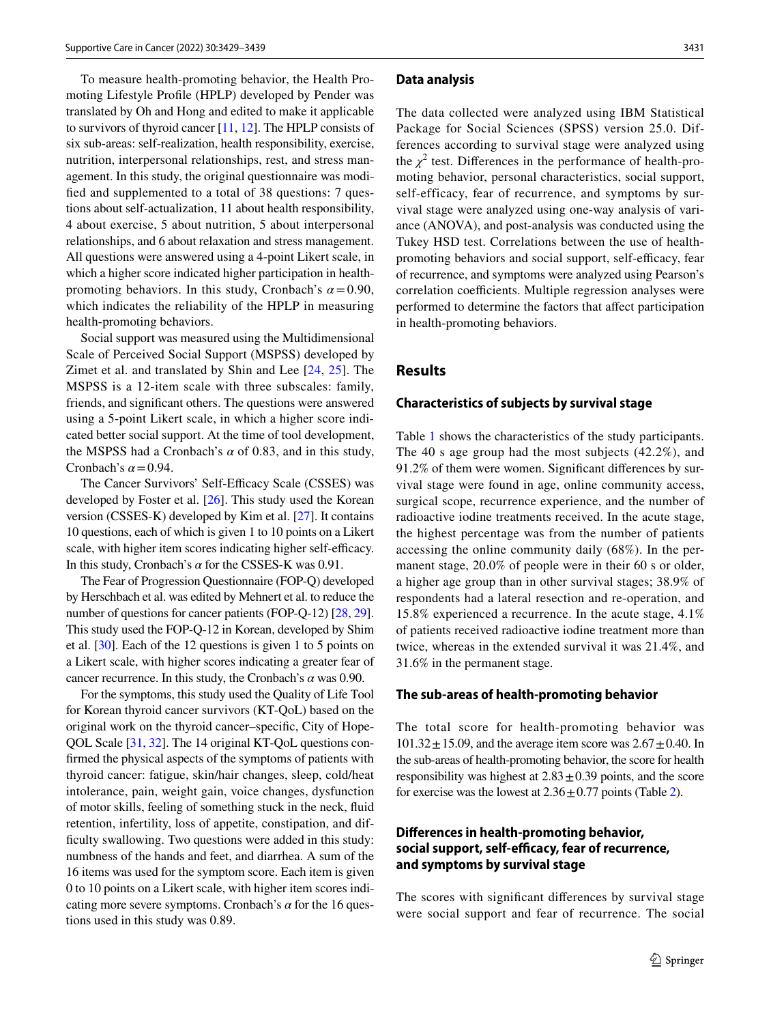To measure health-promoting behavior, the Health Promoting Lifestyle Profle (HPLP) developed by Pender was translated by Oh and Hong and edited to make it applicable to survivors of thyroid cancer [\[11](#page-9-8), [12\]](#page-9-9). The HPLP consists of six sub-areas: self-realization, health responsibility, exercise, nutrition, interpersonal relationships, rest, and stress management. In this study, the original questionnaire was modifed and supplemented to a total of 38 questions: 7 questions about self-actualization, 11 about health responsibility, 4 about exercise, 5 about nutrition, 5 about interpersonal relationships, and 6 about relaxation and stress management. All questions were answered using a 4-point Likert scale, in which a higher score indicated higher participation in healthpromoting behaviors. In this study, Cronbach's  $\alpha = 0.90$ , which indicates the reliability of the HPLP in measuring health-promoting behaviors.

Social support was measured using the Multidimensional Scale of Perceived Social Support (MSPSS) developed by Zimet et al. and translated by Shin and Lee [[24](#page-9-21), [25](#page-9-22)]. The MSPSS is a 12-item scale with three subscales: family, friends, and signifcant others. The questions were answered using a 5-point Likert scale, in which a higher score indicated better social support. At the time of tool development, the MSPSS had a Cronbach's  $\alpha$  of 0.83, and in this study, Cronbach's  $\alpha$  = 0.94.

The Cancer Survivors' Self-Efficacy Scale (CSSES) was developed by Foster et al. [\[26](#page-9-23)]. This study used the Korean version (CSSES-K) developed by Kim et al. [[27\]](#page-9-24). It contains 10 questions, each of which is given 1 to 10 points on a Likert scale, with higher item scores indicating higher self-efficacy. In this study, Cronbach's *α* for the CSSES-K was 0.91.

The Fear of Progression Questionnaire (FOP-Q) developed by Herschbach et al. was edited by Mehnert et al. to reduce the number of questions for cancer patients (FOP-Q-12) [\[28,](#page-9-25) [29](#page-9-26)]. This study used the FOP-Q-12 in Korean, developed by Shim et al. [\[30\]](#page-9-27). Each of the 12 questions is given 1 to 5 points on a Likert scale, with higher scores indicating a greater fear of cancer recurrence. In this study, the Cronbach's *α* was 0.90.

For the symptoms, this study used the Quality of Life Tool for Korean thyroid cancer survivors (KT-QoL) based on the original work on the thyroid cancer–specifc, City of Hope-QOL Scale [[31](#page-9-28), [32\]](#page-9-29). The 14 original KT-QoL questions confrmed the physical aspects of the symptoms of patients with thyroid cancer: fatigue, skin/hair changes, sleep, cold/heat intolerance, pain, weight gain, voice changes, dysfunction of motor skills, feeling of something stuck in the neck, fuid retention, infertility, loss of appetite, constipation, and diffculty swallowing. Two questions were added in this study: numbness of the hands and feet, and diarrhea. A sum of the 16 items was used for the symptom score. Each item is given 0 to 10 points on a Likert scale, with higher item scores indicating more severe symptoms. Cronbach's *α* for the 16 questions used in this study was 0.89.

#### **Data analysis**

The data collected were analyzed using IBM Statistical Package for Social Sciences (SPSS) version 25.0. Differences according to survival stage were analyzed using the  $\chi^2$  test. Differences in the performance of health-promoting behavior, personal characteristics, social support, self-efficacy, fear of recurrence, and symptoms by survival stage were analyzed using one-way analysis of variance (ANOVA), and post-analysis was conducted using the Tukey HSD test. Correlations between the use of healthpromoting behaviors and social support, self-efficacy, fear of recurrence, and symptoms were analyzed using Pearson's correlation coefficients. Multiple regression analyses were performed to determine the factors that afect participation in health-promoting behaviors.

## **Results**

#### **Characteristics of subjects by survival stage**

Table [1](#page-3-0) shows the characteristics of the study participants. The 40 s age group had the most subjects (42.2%), and 91.2% of them were women. Signifcant diferences by survival stage were found in age, online community access, surgical scope, recurrence experience, and the number of radioactive iodine treatments received. In the acute stage, the highest percentage was from the number of patients accessing the online community daily (68%). In the permanent stage, 20.0% of people were in their 60 s or older, a higher age group than in other survival stages; 38.9% of respondents had a lateral resection and re-operation, and 15.8% experienced a recurrence. In the acute stage, 4.1% of patients received radioactive iodine treatment more than twice, whereas in the extended survival it was 21.4%, and 31.6% in the permanent stage.

#### **The sub‑areas of health‑promoting behavior**

The total score for health-promoting behavior was  $101.32 \pm 15.09$ , and the average item score was  $2.67 \pm 0.40$ . In the sub-areas of health-promoting behavior, the score for health responsibility was highest at  $2.83 \pm 0.39$  points, and the score for exercise was the lowest at  $2.36 \pm 0.77$  $2.36 \pm 0.77$  points (Table 2).

# **Diferences in health‑promoting behavior,**  social support, self-efficacy, fear of recurrence, **and symptoms by survival stage**

The scores with signifcant diferences by survival stage were social support and fear of recurrence. The social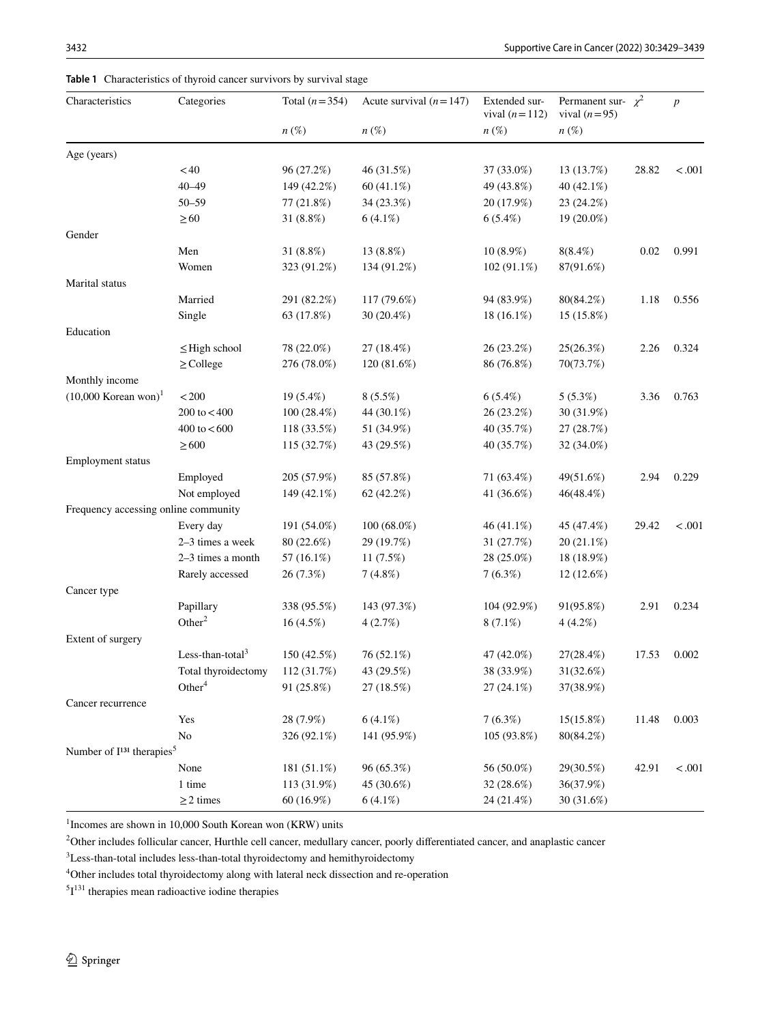## <span id="page-3-0"></span>**Table 1** Characteristics of thyroid cancer survivors by survival stage

| Characteristics                                   | Categories                   | Total $(n=354)$ | Acute survival $(n=147)$ | Extended sur-<br>vival $(n=112)$ | Permanent sur- $\chi^2$<br>vival $(n=95)$ |       | $\boldsymbol{p}$ |
|---------------------------------------------------|------------------------------|-----------------|--------------------------|----------------------------------|-------------------------------------------|-------|------------------|
|                                                   |                              | $n\,(\%)$       | $n(\%)$                  | $n\,(\%)$                        | $n\,(\%)$                                 |       |                  |
| Age (years)                                       |                              |                 |                          |                                  |                                           |       |                  |
|                                                   | < 40                         | 96 (27.2%)      | 46 (31.5%)               | 37 (33.0%)                       | 13 (13.7%)                                | 28.82 | < .001           |
|                                                   | $40 - 49$                    | 149 (42.2%)     | $60(41.1\%)$             | 49 (43.8%)                       | 40 (42.1%)                                |       |                  |
|                                                   | $50 - 59$                    | 77 (21.8%)      | 34 (23.3%)               | 20 (17.9%)                       | 23 (24.2%)                                |       |                  |
|                                                   | $\geq 60$                    | 31 (8.8%)       | $6(4.1\%)$               | 6(5.4%)                          | 19 (20.0%)                                |       |                  |
| Gender                                            |                              |                 |                          |                                  |                                           |       |                  |
|                                                   | Men                          | 31 $(8.8\%)$    | 13 (8.8%)                | $10(8.9\%)$                      | $8(8.4\%)$                                | 0.02  | 0.991            |
|                                                   | Women                        | 323 (91.2%)     | 134 (91.2%)              | 102 (91.1%)                      | 87(91.6%)                                 |       |                  |
| Marital status                                    |                              |                 |                          |                                  |                                           |       |                  |
|                                                   | Married                      | 291 (82.2%)     | 117 (79.6%)              | 94 (83.9%)                       | 80(84.2%)                                 | 1.18  | 0.556            |
|                                                   | Single                       | 63 (17.8%)      | 30 (20.4%)               | 18 (16.1%)                       | 15 (15.8%)                                |       |                  |
| Education                                         |                              |                 |                          |                                  |                                           |       |                  |
|                                                   | $\leq$ High school           | 78 (22.0%)      | 27 (18.4%)               | 26 (23.2%)                       | 25(26.3%)                                 | 2.26  | 0.324            |
|                                                   | $\geq$ College               | 276 (78.0%)     | 120 (81.6%)              | 86 (76.8%)                       | 70(73.7%)                                 |       |                  |
| Monthly income                                    |                              |                 |                          |                                  |                                           |       |                  |
| $(10,000$ Korean won) <sup>1</sup>                | $<\!200$                     | 19 (5.4%)       | 8(5.5%)                  | $6(5.4\%)$                       | 5(5.3%)                                   | 3.36  | 0.763            |
|                                                   | 200 to $<$ 400               | 100(28.4%)      | 44 (30.1%)               | 26 (23.2%)                       | 30 (31.9%)                                |       |                  |
|                                                   | 400 to $< 600$               | 118 (33.5%)     | 51 (34.9%)               | 40 (35.7%)                       | 27 (28.7%)                                |       |                  |
|                                                   | $\geq 600$                   | 115 (32.7%)     | 43 (29.5%)               | 40 (35.7%)                       | 32 (34.0%)                                |       |                  |
| <b>Employment status</b>                          |                              |                 |                          |                                  |                                           |       |                  |
|                                                   | Employed                     | 205 (57.9%)     | 85 (57.8%)               | 71 (63.4%)                       | 49(51.6%)                                 | 2.94  | 0.229            |
|                                                   | Not employed                 | 149 (42.1%)     | 62 (42.2%)               | 41 (36.6%)                       | 46(48.4%)                                 |       |                  |
| Frequency accessing online community              |                              |                 |                          |                                  |                                           |       |                  |
|                                                   | Every day                    | 191 (54.0%)     | $100(68.0\%)$            | $46(41.1\%)$                     | 45 (47.4%)                                | 29.42 | < .001           |
|                                                   | 2-3 times a week             | 80 (22.6%)      | 29 (19.7%)               | 31 (27.7%)                       | 20 (21.1%)                                |       |                  |
|                                                   | 2-3 times a month            | 57 (16.1%)      | 11(7.5%)                 | 28 (25.0%)                       | 18 (18.9%)                                |       |                  |
|                                                   | Rarely accessed              | 26 (7.3%)       | 7(4.8%)                  | 7(6.3%)                          | 12 (12.6%)                                |       |                  |
| Cancer type                                       |                              |                 |                          |                                  |                                           |       |                  |
|                                                   | Papillary                    | 338 (95.5%)     | 143 (97.3%)              | 104 (92.9%)                      | 91(95.8%)                                 | 2.91  | 0.234            |
|                                                   | Other $2$                    | 16 (4.5%)       | 4(2.7%)                  | $8(7.1\%)$                       | 4(4.2%)                                   |       |                  |
| Extent of surgery                                 |                              |                 |                          |                                  |                                           |       |                  |
|                                                   | Less-than-total <sup>3</sup> | 150 (42.5%)     | 76 (52.1%)               | 47 (42.0%)                       | 27(28.4%)                                 | 17.53 | 0.002            |
|                                                   | Total thyroidectomy          | 112 (31.7%)     | 43 (29.5%)               | 38 (33.9%)                       | 31(32.6%)                                 |       |                  |
|                                                   | Other <sup>4</sup>           | 91 (25.8%)      | 27 (18.5%)               | 27 (24.1%)                       | 37(38.9%)                                 |       |                  |
| Cancer recurrence                                 |                              |                 |                          |                                  |                                           |       |                  |
|                                                   | Yes                          | 28 (7.9%)       | $6(4.1\%)$               | 7(6.3%)                          | 15(15.8%)                                 | 11.48 | 0.003            |
|                                                   | No                           | 326 (92.1%)     | 141 (95.9%)              | 105 (93.8%)                      | 80(84.2%)                                 |       |                  |
| Number of I <sup>131</sup> therapies <sup>5</sup> |                              |                 |                          |                                  |                                           |       |                  |
|                                                   | None                         | 181 (51.1%)     | 96 (65.3%)               | 56 (50.0%)                       | 29(30.5%)                                 | 42.91 | < .001           |
|                                                   | 1 time                       | 113 (31.9%)     | 45 (30.6%)               | 32 (28.6%)                       | 36(37.9%)                                 |       |                  |
|                                                   | $\geq$ 2 times               | $60(16.9\%)$    | $6(4.1\%)$               | 24 (21.4%)                       | 30 (31.6%)                                |       |                  |

<sup>1</sup> Incomes are shown in 10,000 South Korean won (KRW) units

<sup>2</sup>Other includes follicular cancer, Hurthle cell cancer, medullary cancer, poorly differentiated cancer, and anaplastic cancer

<sup>3</sup>Less-than-total includes less-than-total thyroidectomy and hemithyroidectomy

<sup>4</sup>Other includes total thyroidectomy along with lateral neck dissection and re-operation

 $5I<sup>131</sup>$  therapies mean radioactive iodine therapies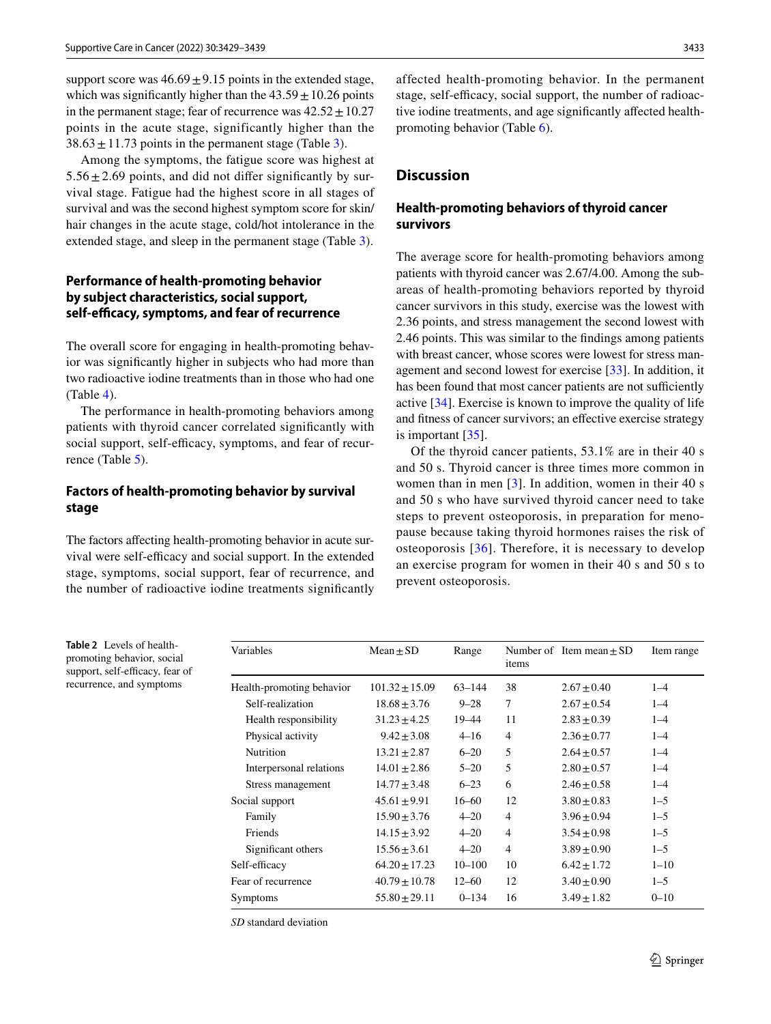support score was  $46.69 \pm 9.15$  points in the extended stage, which was significantly higher than the  $43.59 \pm 10.26$  points in the permanent stage; fear of recurrence was  $42.52 \pm 10.27$ points in the acute stage, significantly higher than the  $38.63 \pm 11.73$  points in the permanent stage (Table [3\)](#page-5-0).

Among the symptoms, the fatigue score was highest at  $5.56 \pm 2.69$  points, and did not differ significantly by survival stage. Fatigue had the highest score in all stages of survival and was the second highest symptom score for skin/ hair changes in the acute stage, cold/hot intolerance in the extended stage, and sleep in the permanent stage (Table [3\)](#page-5-0).

# **Performance of health‑promoting behavior by subject characteristics, social support, self‑efcacy, symptoms, and fear of recurrence**

The overall score for engaging in health-promoting behavior was signifcantly higher in subjects who had more than two radioactive iodine treatments than in those who had one (Table [4\)](#page-6-0).

The performance in health-promoting behaviors among patients with thyroid cancer correlated signifcantly with social support, self-efficacy, symptoms, and fear of recur-rence (Table [5\)](#page-7-0).

## **Factors of health‑promoting behavior by survival stage**

The factors affecting health-promoting behavior in acute survival were self-efficacy and social support. In the extended stage, symptoms, social support, fear of recurrence, and the number of radioactive iodine treatments signifcantly affected health-promoting behavior. In the permanent stage, self-efficacy, social support, the number of radioactive iodine treatments, and age signifcantly afected healthpromoting behavior (Table [6\)](#page-7-1).

# **Discussion**

## **Health‑promoting behaviors of thyroid cancer survivors**

The average score for health-promoting behaviors among patients with thyroid cancer was 2.67/4.00. Among the subareas of health-promoting behaviors reported by thyroid cancer survivors in this study, exercise was the lowest with 2.36 points, and stress management the second lowest with 2.46 points. This was similar to the fndings among patients with breast cancer, whose scores were lowest for stress management and second lowest for exercise [\[33](#page-9-30)]. In addition, it has been found that most cancer patients are not sufficiently active [[34\]](#page-9-31). Exercise is known to improve the quality of life and ftness of cancer survivors; an efective exercise strategy is important [[35\]](#page-9-32).

Of the thyroid cancer patients, 53.1% are in their 40 s and 50 s. Thyroid cancer is three times more common in women than in men [\[3](#page-9-0)]. In addition, women in their 40 s and 50 s who have survived thyroid cancer need to take steps to prevent osteoporosis, in preparation for menopause because taking thyroid hormones raises the risk of osteoporosis [[36](#page-9-33)]. Therefore, it is necessary to develop an exercise program for women in their 40 s and 50 s to prevent osteoporosis.

<span id="page-4-0"></span>**Table 2** Levels of healthpromoting behavior, social support, self-efficacy, fear of recurrence, and symptoms

| <b>Variables</b>          | $Mean + SD$        | Range      | items          | Number of Item mean $+$ SD | Item range |
|---------------------------|--------------------|------------|----------------|----------------------------|------------|
| Health-promoting behavior | $101.32 \pm 15.09$ | $63 - 144$ | 38             | $2.67 \pm 0.40$            | $1 - 4$    |
| Self-realization          | $18.68 \pm 3.76$   | $9 - 28$   | 7              | $2.67 \pm 0.54$            | $1 - 4$    |
| Health responsibility     | $31.23 \pm 4.25$   | 19–44      | 11             | $2.83 \pm 0.39$            | $1 - 4$    |
| Physical activity         | $9.42 \pm 3.08$    | $4 - 16$   | $\overline{4}$ | $2.36 \pm 0.77$            | $1 - 4$    |
| Nutrition                 | $13.21 \pm 2.87$   | $6 - 20$   | 5              | $2.64 + 0.57$              | $1 - 4$    |
| Interpersonal relations   | $14.01 \pm 2.86$   | $5 - 20$   | 5              | $2.80 \pm 0.57$            | $1 - 4$    |
| Stress management         | $14.77 \pm 3.48$   | $6 - 23$   | 6              | $2.46 \pm 0.58$            | $1 - 4$    |
| Social support            | $45.61 \pm 9.91$   | $16 - 60$  | 12             | $3.80 \pm 0.83$            | $1 - 5$    |
| Family                    | $15.90 \pm 3.76$   | $4 - 20$   | 4              | $3.96 \pm 0.94$            | $1 - 5$    |
| Friends                   | $14.15 \pm 3.92$   | $4 - 20$   | $\overline{4}$ | $3.54 \pm 0.98$            | $1 - 5$    |
| Significant others        | $15.56 \pm 3.61$   | $4 - 20$   | $\overline{4}$ | $3.89 \pm 0.90$            | $1 - 5$    |
| Self-efficacy             | $64.20 \pm 17.23$  | $10 - 100$ | 10             | $6.42 \pm 1.72$            | $1 - 10$   |
| Fear of recurrence        | $40.79 \pm 10.78$  | $12 - 60$  | 12             | $3.40 \pm 0.90$            | $1 - 5$    |
| Symptoms                  | $55.80 \pm 29.11$  | $0 - 134$  | 16             | $3.49 \pm 1.82$            | $0 - 10$   |

*SD* standard deviation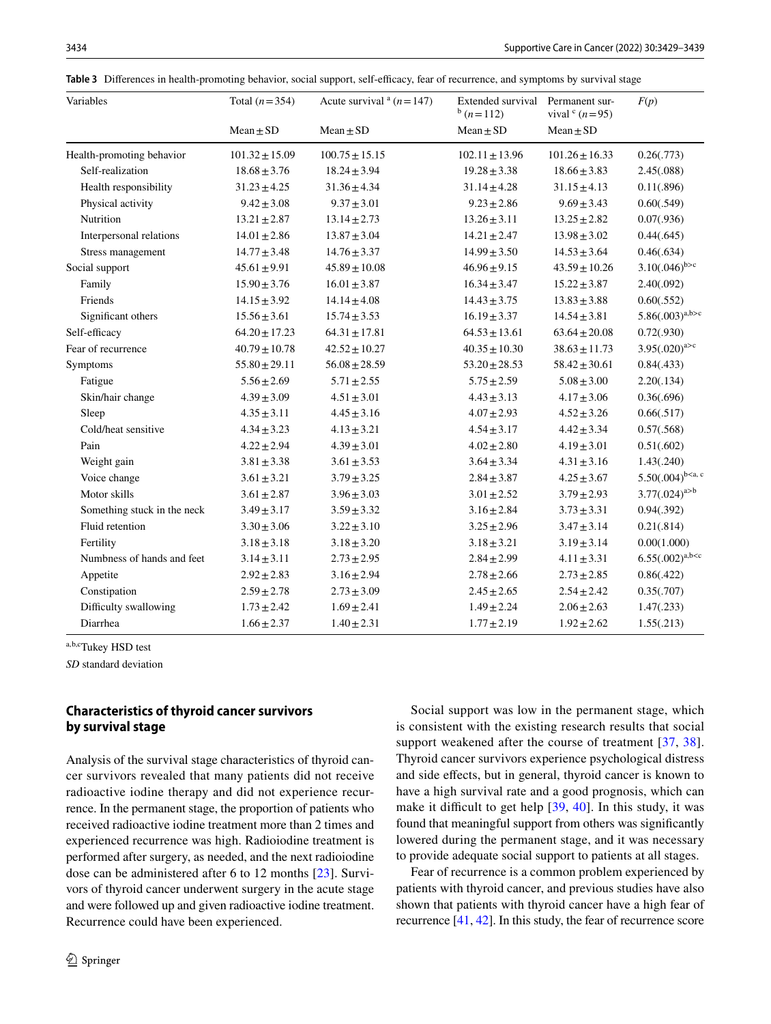<span id="page-5-0"></span>Table 3 Differences in health-promoting behavior, social support, self-efficacy, fear of recurrence, and symptoms by survival stage

| Variables                   | Total $(n=354)$    | Acute survival $n = 147$ | Extended survival<br>$h(n=112)$ | Permanent sur-<br>vival $(c (n=95))$ | F(p)                   |
|-----------------------------|--------------------|--------------------------|---------------------------------|--------------------------------------|------------------------|
|                             | $Mean \pm SD$      | $Mean \pm SD$            | $Mean \pm SD$                   | $Mean \pm SD$                        |                        |
| Health-promoting behavior   | $101.32 \pm 15.09$ | $100.75 \pm 15.15$       | $102.11 \pm 13.96$              | $101.26 \pm 16.33$                   | 0.26(.773)             |
| Self-realization            | $18.68 \pm 3.76$   | $18.24 \pm 3.94$         | $19.28 \pm 3.38$                | $18.66 \pm 3.83$                     | 2.45(.088)             |
| Health responsibility       | $31.23 \pm 4.25$   | $31.36 \pm 4.34$         | $31.14 \pm 4.28$                | $31.15 \pm 4.13$                     | 0.11(.896)             |
| Physical activity           | $9.42 \pm 3.08$    | $9.37 \pm 3.01$          | $9.23 \pm 2.86$                 | $9.69 \pm 3.43$                      | 0.60(.549)             |
| Nutrition                   | $13.21 \pm 2.87$   | $13.14 \pm 2.73$         | $13.26 \pm 3.11$                | $13.25 \pm 2.82$                     | 0.07(.936)             |
| Interpersonal relations     | $14.01 \pm 2.86$   | $13.87 \pm 3.04$         | $14.21 \pm 2.47$                | $13.98 \pm 3.02$                     | 0.44(.645)             |
| Stress management           | $14.77 \pm 3.48$   | $14.76 \pm 3.37$         | $14.99 \pm 3.50$                | $14.53 \pm 3.64$                     | 0.46(.634)             |
| Social support              | $45.61 \pm 9.91$   | $45.89 \pm 10.08$        | $46.96 \pm 9.15$                | $43.59 \pm 10.26$                    | $3.10(.046)^{b>c}$     |
| Family                      | $15.90 \pm 3.76$   | $16.01 \pm 3.87$         | $16.34 \pm 3.47$                | $15.22 \pm 3.87$                     | 2.40(.092)             |
| Friends                     | $14.15 \pm 3.92$   | $14.14 \pm 4.08$         | $14.43 \pm 3.75$                | $13.83 \pm 3.88$                     | 0.60(.552)             |
| Significant others          | $15.56 \pm 3.61$   | $15.74 \pm 3.53$         | $16.19 \pm 3.37$                | $14.54 \pm 3.81$                     | $5.86(.003)^{a,b>c}$   |
| Self-efficacy               | $64.20 \pm 17.23$  | $64.31 \pm 17.81$        | $64.53 \pm 13.61$               | $63.64 \pm 20.08$                    | 0.72(.930)             |
| Fear of recurrence          | $40.79 \pm 10.78$  | $42.52 \pm 10.27$        | $40.35 \pm 10.30$               | $38.63 \pm 11.73$                    | $3.95(.020)^{a>c}$     |
| Symptoms                    | $55.80 \pm 29.11$  | $56.08 \pm 28.59$        | $53.20 \pm 28.53$               | $58.42 \pm 30.61$                    | 0.84(.433)             |
| Fatigue                     | $5.56 \pm 2.69$    | $5.71 \pm 2.55$          | $5.75 \pm 2.59$                 | $5.08 \pm 3.00$                      | 2.20(.134)             |
| Skin/hair change            | $4.39 \pm 3.09$    | $4.51 \pm 3.01$          | $4.43 \pm 3.13$                 | $4.17 \pm 3.06$                      | 0.36(.696)             |
| Sleep                       | $4.35 \pm 3.11$    | $4.45 \pm 3.16$          | $4.07 \pm 2.93$                 | $4.52 \pm 3.26$                      | 0.66(.517)             |
| Cold/heat sensitive         | $4.34 \pm 3.23$    | $4.13 \pm 3.21$          | $4.54 \pm 3.17$                 | $4.42 \pm 3.34$                      | 0.57(.568)             |
| Pain                        | $4.22 \pm 2.94$    | $4.39 \pm 3.01$          | $4.02 \pm 2.80$                 | $4.19 \pm 3.01$                      | 0.51(.602)             |
| Weight gain                 | $3.81 \pm 3.38$    | $3.61 \pm 3.53$          | $3.64 \pm 3.34$                 | $4.31 \pm 3.16$                      | 1.43(.240)             |
| Voice change                | $3.61 \pm 3.21$    | $3.79 \pm 3.25$          | $2.84 \pm 3.87$                 | $4.25 \pm 3.67$                      | $5.50(.004)^{b$        |
| Motor skills                | $3.61 \pm 2.87$    | $3.96 \pm 3.03$          | $3.01 \pm 2.52$                 | $3.79 \pm 2.93$                      | $3.77(.024)^{a>b}$     |
| Something stuck in the neck | $3.49 \pm 3.17$    | $3.59 \pm 3.32$          | $3.16 \pm 2.84$                 | $3.73 \pm 3.31$                      | 0.94(.392)             |
| Fluid retention             | $3.30 \pm 3.06$    | $3.22 \pm 3.10$          | $3.25 \pm 2.96$                 | $3.47 \pm 3.14$                      | 0.21(.814)             |
| Fertility                   | $3.18 \pm 3.18$    | $3.18 \pm 3.20$          | $3.18 \pm 3.21$                 | $3.19 \pm 3.14$                      | 0.00(1.000)            |
| Numbness of hands and feet  | $3.14 \pm 3.11$    | $2.73 \pm 2.95$          | $2.84 \pm 2.99$                 | $4.11 \pm 3.31$                      | $6.55(.002)^{a,b < c}$ |
| Appetite                    | $2.92 \pm 2.83$    | $3.16 \pm 2.94$          | $2.78 \pm 2.66$                 | $2.73 \pm 2.85$                      | 0.86(.422)             |
| Constipation                | $2.59 \pm 2.78$    | $2.73 \pm 3.09$          | $2.45 \pm 2.65$                 | $2.54 \pm 2.42$                      | 0.35(.707)             |
| Difficulty swallowing       | $1.73 \pm 2.42$    | $1.69 \pm 2.41$          | $1.49 \pm 2.24$                 | $2.06 \pm 2.63$                      | 1.47(.233)             |
| Diarrhea                    | $1.66 \pm 2.37$    | $1.40 \pm 2.31$          | $1.77 \pm 2.19$                 | $1.92 \pm 2.62$                      | 1.55(.213)             |

a,b,cTukey HSD test

*SD* standard deviation

## **Characteristics of thyroid cancer survivors by survival stage**

Analysis of the survival stage characteristics of thyroid cancer survivors revealed that many patients did not receive radioactive iodine therapy and did not experience recurrence. In the permanent stage, the proportion of patients who received radioactive iodine treatment more than 2 times and experienced recurrence was high. Radioiodine treatment is performed after surgery, as needed, and the next radioiodine dose can be administered after 6 to 12 months [[23](#page-9-20)]. Survivors of thyroid cancer underwent surgery in the acute stage and were followed up and given radioactive iodine treatment. Recurrence could have been experienced.

Social support was low in the permanent stage, which is consistent with the existing research results that social support weakened after the course of treatment [[37](#page-9-34), [38](#page-9-35)]. Thyroid cancer survivors experience psychological distress and side efects, but in general, thyroid cancer is known to have a high survival rate and a good prognosis, which can make it difficult to get help  $[39, 40]$  $[39, 40]$  $[39, 40]$  $[39, 40]$  $[39, 40]$ . In this study, it was found that meaningful support from others was signifcantly lowered during the permanent stage, and it was necessary to provide adequate social support to patients at all stages.

Fear of recurrence is a common problem experienced by patients with thyroid cancer, and previous studies have also shown that patients with thyroid cancer have a high fear of recurrence [\[41](#page-10-1), [42\]](#page-10-2). In this study, the fear of recurrence score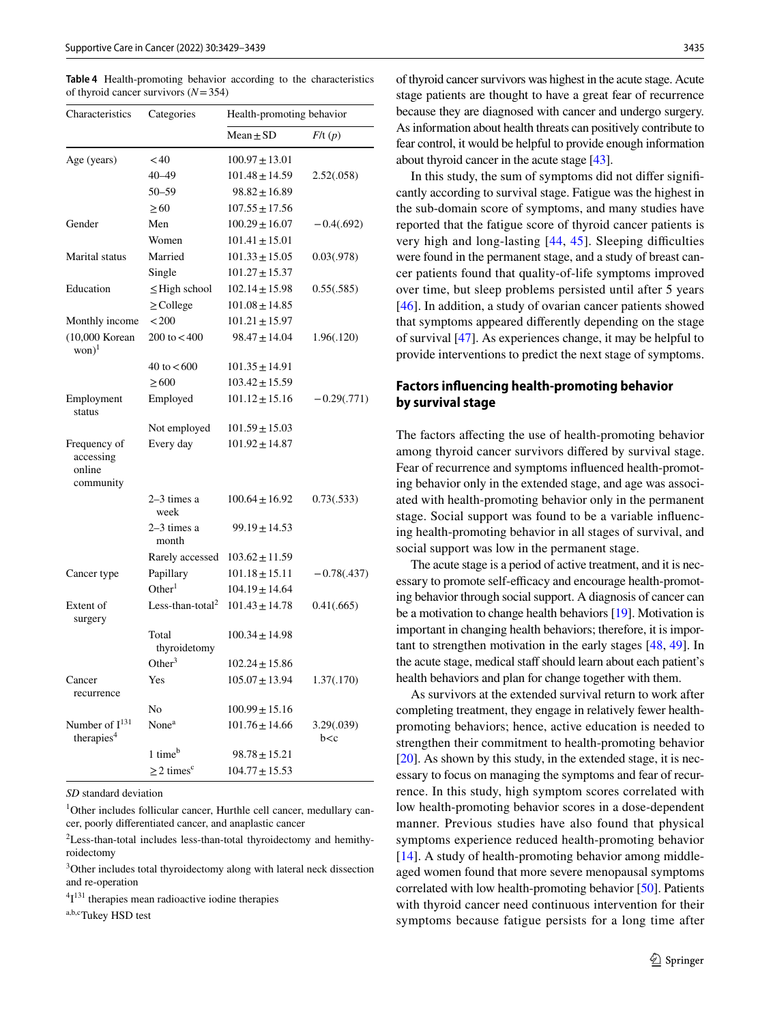<span id="page-6-0"></span>**Table 4** Health-promoting behavior according to the characteristics of thyroid cancer survivors (*N*=354)

| Characteristics                                      | Categories                   | Health-promoting behavior |                     |  |
|------------------------------------------------------|------------------------------|---------------------------|---------------------|--|
|                                                      |                              | $Mean \pm SD$             | F/t(p)              |  |
| Age (years)                                          | < 40                         | $100.97 \pm 13.01$        |                     |  |
|                                                      | $40 - 49$                    | $101.48 \pm 14.59$        | 2.52(.058)          |  |
|                                                      | $50 - 59$                    | $98.82 \pm 16.89$         |                     |  |
|                                                      | $\geq 60$                    | $107.55 \pm 17.56$        |                     |  |
| Gender                                               | Men                          | $100.29 \pm 16.07$        | $-0.4(.692)$        |  |
|                                                      | Women                        | $101.41 \pm 15.01$        |                     |  |
| Marital status                                       | Married                      | $101.33 \pm 15.05$        | 0.03(.978)          |  |
|                                                      | Single                       | $101.27 \pm 15.37$        |                     |  |
| Education                                            | $\leq$ High school           | $102.14 \pm 15.98$        | 0.55(.585)          |  |
|                                                      | $\geq$ College               | $101.08 \pm 14.85$        |                     |  |
| Monthly income                                       | < 200                        | $101.21 \pm 15.97$        |                     |  |
| (10,000 Korean<br>$won)$ <sup>1</sup>                | $200 \text{ to } 400$        | $98.47 \pm 14.04$         | 1.96(.120)          |  |
|                                                      | 40 to $< 600$                | $101.35 \pm 14.91$        |                     |  |
|                                                      | > 600                        | $103.42 \pm 15.59$        |                     |  |
| Employment<br>status                                 | Employed                     | $101.12 \pm 15.16$        | $-0.29(.771)$       |  |
|                                                      | Not employed                 | $101.59 \pm 15.03$        |                     |  |
| Frequency of<br>accessing<br>online<br>community     | Every day                    | $101.92 \pm 14.87$        |                     |  |
|                                                      | $2-3$ times a<br>week        | $100.64 \pm 16.92$        | 0.73(.533)          |  |
|                                                      | $2-3$ times a<br>month       | $99.19 \pm 14.53$         |                     |  |
|                                                      | Rarely accessed              | $103.62 \pm 11.59$        |                     |  |
| Cancer type                                          | Papillary                    | $101.18 \pm 15.11$        | $-0.78(.437)$       |  |
|                                                      | Other <sup>1</sup>           | $104.19 \pm 14.64$        |                     |  |
| Extent of<br>surgery                                 | Less-than-total <sup>2</sup> | $101.43 \pm 14.78$        | 0.41(.665)          |  |
|                                                      | Total<br>thyroidetomy        | $100.34 \pm 14.98$        |                     |  |
|                                                      | Other <sup>3</sup>           | $102.24 \pm 15.86$        |                     |  |
| Cancer<br>recurrence                                 | Yes                          | $105.07 \pm 13.94$        | 1.37(.170)          |  |
|                                                      | No                           | $100.99 \pm 15.16$        |                     |  |
| Number of I <sup>131</sup><br>therapies <sup>4</sup> | None <sup>a</sup>            | $101.76 \pm 14.66$        | 3.29(.039)<br>b < c |  |
|                                                      | 1 time <sup>b</sup>          | $98.78 \pm 15.21$         |                     |  |
|                                                      | $\geq$ 2 times <sup>c</sup>  | $104.77 \pm 15.53$        |                     |  |

*SD* standard deviation

1 Other includes follicular cancer, Hurthle cell cancer, medullary cancer, poorly diferentiated cancer, and anaplastic cancer

<sup>2</sup>Less-than-total includes less-than-total thyroidectomy and hemithyroidectomy

<sup>3</sup>Other includes total thyroidectomy along with lateral neck dissection and re-operation

 ${}^{4}I^{131}$  therapies mean radioactive iodine therapies

a,b,cTukey HSD test

of thyroid cancer survivors was highest in the acute stage. Acute stage patients are thought to have a great fear of recurrence because they are diagnosed with cancer and undergo surgery. As information about health threats can positively contribute to fear control, it would be helpful to provide enough information about thyroid cancer in the acute stage [[43](#page-10-3)].

In this study, the sum of symptoms did not difer signifcantly according to survival stage. Fatigue was the highest in the sub-domain score of symptoms, and many studies have reported that the fatigue score of thyroid cancer patients is very high and long-lasting  $[44, 45]$  $[44, 45]$  $[44, 45]$  $[44, 45]$  $[44, 45]$ . Sleeping difficulties were found in the permanent stage, and a study of breast cancer patients found that quality-of-life symptoms improved over time, but sleep problems persisted until after 5 years [[46\]](#page-10-6). In addition, a study of ovarian cancer patients showed that symptoms appeared diferently depending on the stage of survival [\[47](#page-10-7)]. As experiences change, it may be helpful to provide interventions to predict the next stage of symptoms.

## **Factors infuencing health‑promoting behavior by survival stage**

The factors affecting the use of health-promoting behavior among thyroid cancer survivors difered by survival stage. Fear of recurrence and symptoms infuenced health-promoting behavior only in the extended stage, and age was associated with health-promoting behavior only in the permanent stage. Social support was found to be a variable infuencing health-promoting behavior in all stages of survival, and social support was low in the permanent stage.

The acute stage is a period of active treatment, and it is necessary to promote self-efficacy and encourage health-promoting behavior through social support. A diagnosis of cancer can be a motivation to change health behaviors [\[19](#page-9-16)]. Motivation is important in changing health behaviors; therefore, it is important to strengthen motivation in the early stages [\[48](#page-10-8), [49](#page-10-9)]. In the acute stage, medical staff should learn about each patient's health behaviors and plan for change together with them.

As survivors at the extended survival return to work after completing treatment, they engage in relatively fewer healthpromoting behaviors; hence, active education is needed to strengthen their commitment to health-promoting behavior [\[20](#page-9-17)]. As shown by this study, in the extended stage, it is necessary to focus on managing the symptoms and fear of recurrence. In this study, high symptom scores correlated with low health-promoting behavior scores in a dose-dependent manner. Previous studies have also found that physical symptoms experience reduced health-promoting behavior  $[14]$  $[14]$ . A study of health-promoting behavior among middleaged women found that more severe menopausal symptoms correlated with low health-promoting behavior [\[50](#page-10-10)]. Patients with thyroid cancer need continuous intervention for their symptoms because fatigue persists for a long time after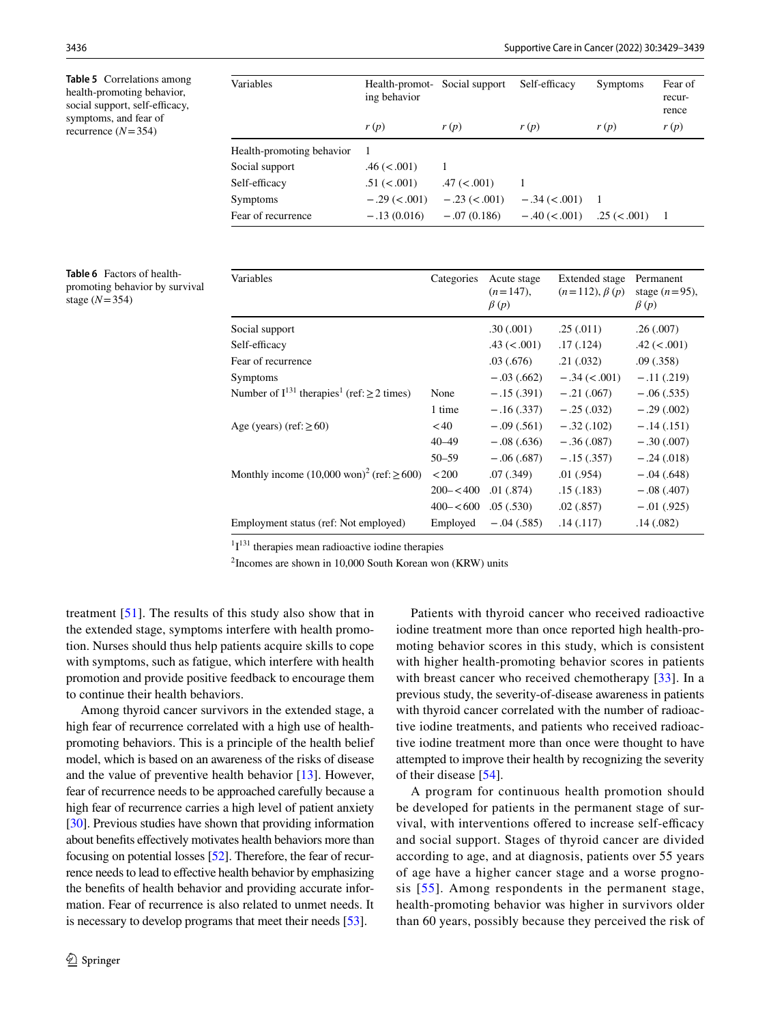<span id="page-7-0"></span>**Table 5** Correlations among health-promoting behavior, social support, self-efficacy, symptoms, and fear of recurrence  $(N=354)$ 

| Variables                 | Health-promot-<br>ing behavior | Social support   | Self-efficacy   | Symptoms         | Fear of<br>recur-<br>rence |
|---------------------------|--------------------------------|------------------|-----------------|------------------|----------------------------|
|                           | r(p)                           | r(p)             | r(p)            | r(p)             | r(p)                       |
| Health-promoting behavior |                                |                  |                 |                  |                            |
| Social support            | $.46 \ (< .001)$               |                  |                 |                  |                            |
| Self-efficacy             | .51 (< .001)                   | $.47 \,(< .001)$ |                 |                  |                            |
| Symptoms                  | $-.29 (< .001)$                | $-.23 < .001$    | $-.34 (< .001)$ |                  |                            |
| Fear of recurrence        | $-.13(0.016)$                  | $-.07(0.186)$    | $-.40 (< .001)$ | $.25 \ (< .001)$ | $\overline{1}$             |

<span id="page-7-1"></span>

|                 | <b>Table 6</b> Factors of health- |
|-----------------|-----------------------------------|
|                 | promoting behavior by survival    |
| stage $(N=354)$ |                                   |

| Variables                                                        | Categories    | Acute stage<br>$(n=147)$ ,<br>$\beta(p)$ | Extended stage<br>$(n=112), \beta(p)$ | Permanent<br>stage $(n=95)$ ,<br>$\beta(p)$ |
|------------------------------------------------------------------|---------------|------------------------------------------|---------------------------------------|---------------------------------------------|
| Social support                                                   |               | .30(.001)                                | .25(.011)                             | .26(.007)                                   |
| Self-efficacy                                                    |               | $.43 \ (< .001)$                         | .17(0.124)                            | $.42 \,(<.001)$                             |
| Fear of recurrence                                               |               | .03(0.676)                               | .21(.032)                             | .09(0.358)                                  |
| <b>Symptoms</b>                                                  |               | $-.03(.662)$                             | $-.34 (< .001)$                       | $-.11(.219)$                                |
| Number of $I^{131}$ therapies <sup>1</sup> (ref: $\geq$ 2 times) | None          | $-.15(.391)$                             | $-.21(.067)$                          | $-.06(.535)$                                |
|                                                                  | 1 time        | $-.16(.337)$                             | $-.25(.032)$                          | $-.29(.002)$                                |
| Age (years) (ref: $\geq 60$ )                                    | < 40          | $-.09(.561)$                             | $-.32(.102)$                          | $-.14(.151)$                                |
|                                                                  | $40 - 49$     | $-.08(.636)$                             | $-.36(.087)$                          | $-.30(.007)$                                |
|                                                                  | $50 - 59$     | $-.06(.687)$                             | $-.15(.357)$                          | $-.24(.018)$                                |
| Monthly income $(10,000 \text{ won})^2$ (ref: $\geq 600$ )       | < 200         | .07 (.349)                               | .01(0.954)                            | $-.04(.648)$                                |
|                                                                  | $200 - < 400$ | .01(.874)                                | .15(.183)                             | $-.08(.407)$                                |
|                                                                  | $400 - 600$   | .05(.530)                                | .02(.857)                             | $-.01(.925)$                                |
| Employment status (ref: Not employed)                            | Employed      | $-.04(.585)$                             | .14(.117)                             | .14(0.082)                                  |

 $1I<sup>131</sup>$  therapies mean radioactive iodine therapies

2 Incomes are shown in 10,000 South Korean won (KRW) units

treatment [\[51\]](#page-10-11). The results of this study also show that in the extended stage, symptoms interfere with health promotion. Nurses should thus help patients acquire skills to cope with symptoms, such as fatigue, which interfere with health promotion and provide positive feedback to encourage them to continue their health behaviors.

Among thyroid cancer survivors in the extended stage, a high fear of recurrence correlated with a high use of healthpromoting behaviors. This is a principle of the health belief model, which is based on an awareness of the risks of disease and the value of preventive health behavior [\[13](#page-9-10)]. However, fear of recurrence needs to be approached carefully because a high fear of recurrence carries a high level of patient anxiety [\[30](#page-9-27)]. Previous studies have shown that providing information about benefits effectively motivates health behaviors more than focusing on potential losses [[52\]](#page-10-12). Therefore, the fear of recurrence needs to lead to effective health behavior by emphasizing the benefts of health behavior and providing accurate information. Fear of recurrence is also related to unmet needs. It is necessary to develop programs that meet their needs [\[53](#page-10-13)].

Patients with thyroid cancer who received radioactive iodine treatment more than once reported high health-promoting behavior scores in this study, which is consistent with higher health-promoting behavior scores in patients with breast cancer who received chemotherapy [[33\]](#page-9-30). In a previous study, the severity-of-disease awareness in patients with thyroid cancer correlated with the number of radioactive iodine treatments, and patients who received radioactive iodine treatment more than once were thought to have attempted to improve their health by recognizing the severity of their disease [\[54](#page-10-14)].

A program for continuous health promotion should be developed for patients in the permanent stage of survival, with interventions offered to increase self-efficacy and social support. Stages of thyroid cancer are divided according to age, and at diagnosis, patients over 55 years of age have a higher cancer stage and a worse prognosis [[55](#page-10-15)]. Among respondents in the permanent stage, health-promoting behavior was higher in survivors older than 60 years, possibly because they perceived the risk of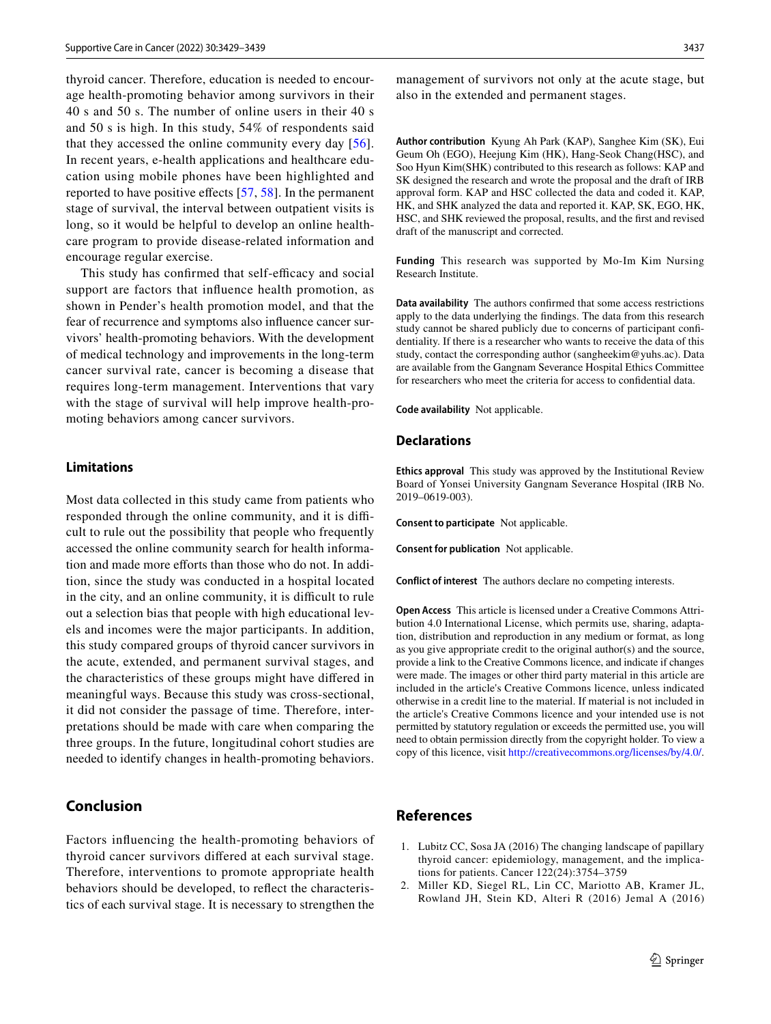thyroid cancer. Therefore, education is needed to encourage health-promoting behavior among survivors in their 40 s and 50 s. The number of online users in their 40 s and 50 s is high. In this study, 54% of respondents said that they accessed the online community every day [[56](#page-10-16)]. In recent years, e-health applications and healthcare education using mobile phones have been highlighted and reported to have positive effects  $[57, 58]$  $[57, 58]$  $[57, 58]$ . In the permanent stage of survival, the interval between outpatient visits is long, so it would be helpful to develop an online healthcare program to provide disease-related information and encourage regular exercise.

This study has confirmed that self-efficacy and social support are factors that infuence health promotion, as shown in Pender's health promotion model, and that the fear of recurrence and symptoms also infuence cancer survivors' health-promoting behaviors. With the development of medical technology and improvements in the long-term cancer survival rate, cancer is becoming a disease that requires long-term management. Interventions that vary with the stage of survival will help improve health-promoting behaviors among cancer survivors.

#### **Limitations**

Most data collected in this study came from patients who responded through the online community, and it is difficult to rule out the possibility that people who frequently accessed the online community search for health information and made more efforts than those who do not. In addition, since the study was conducted in a hospital located in the city, and an online community, it is difficult to rule out a selection bias that people with high educational levels and incomes were the major participants. In addition, this study compared groups of thyroid cancer survivors in the acute, extended, and permanent survival stages, and the characteristics of these groups might have difered in meaningful ways. Because this study was cross-sectional, it did not consider the passage of time. Therefore, interpretations should be made with care when comparing the three groups. In the future, longitudinal cohort studies are needed to identify changes in health-promoting behaviors.

# **Conclusion**

Factors infuencing the health-promoting behaviors of thyroid cancer survivors difered at each survival stage. Therefore, interventions to promote appropriate health behaviors should be developed, to refect the characteristics of each survival stage. It is necessary to strengthen the management of survivors not only at the acute stage, but also in the extended and permanent stages.

**Author contribution** Kyung Ah Park (KAP), Sanghee Kim (SK), Eui Geum Oh (EGO), Heejung Kim (HK), Hang-Seok Chang(HSC), and Soo Hyun Kim(SHK) contributed to this research as follows: KAP and SK designed the research and wrote the proposal and the draft of IRB approval form. KAP and HSC collected the data and coded it. KAP, HK, and SHK analyzed the data and reported it. KAP, SK, EGO, HK, HSC, and SHK reviewed the proposal, results, and the frst and revised draft of the manuscript and corrected.

**Funding** This research was supported by Mo-Im Kim Nursing Research Institute.

**Data availability** The authors confrmed that some access restrictions apply to the data underlying the fndings. The data from this research study cannot be shared publicly due to concerns of participant confdentiality. If there is a researcher who wants to receive the data of this study, contact the corresponding author (sangheekim@yuhs.ac). Data are available from the Gangnam Severance Hospital Ethics Committee for researchers who meet the criteria for access to confdential data.

**Code availability** Not applicable.

#### **Declarations**

**Ethics approval** This study was approved by the Institutional Review Board of Yonsei University Gangnam Severance Hospital (IRB No. 2019–0619-003).

**Consent to participate** Not applicable.

**Consent for publication** Not applicable.

**Conflict of interest** The authors declare no competing interests.

**Open Access** This article is licensed under a Creative Commons Attribution 4.0 International License, which permits use, sharing, adaptation, distribution and reproduction in any medium or format, as long as you give appropriate credit to the original author(s) and the source, provide a link to the Creative Commons licence, and indicate if changes were made. The images or other third party material in this article are included in the article's Creative Commons licence, unless indicated otherwise in a credit line to the material. If material is not included in the article's Creative Commons licence and your intended use is not permitted by statutory regulation or exceeds the permitted use, you will need to obtain permission directly from the copyright holder. To view a copy of this licence, visit<http://creativecommons.org/licenses/by/4.0/>.

## **References**

- <span id="page-8-0"></span>1. Lubitz CC, Sosa JA (2016) The changing landscape of papillary thyroid cancer: epidemiology, management, and the implications for patients. Cancer 122(24):3754–3759
- 2. Miller KD, Siegel RL, Lin CC, Mariotto AB, Kramer JL, Rowland JH, Stein KD, Alteri R (2016) Jemal A (2016)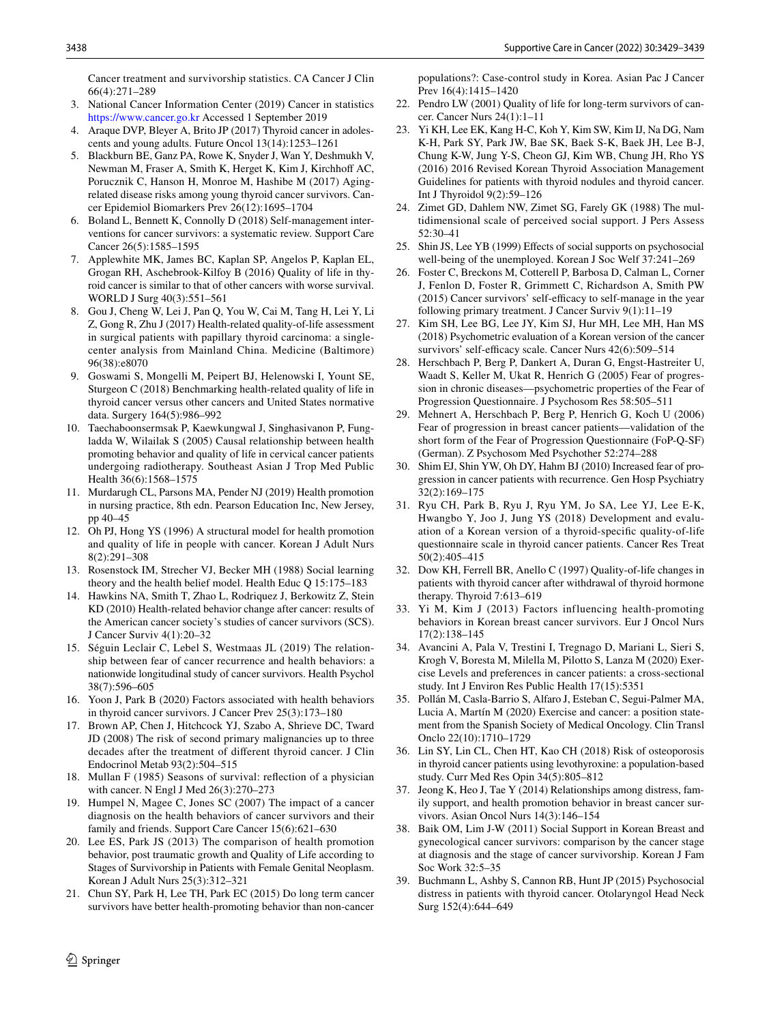Cancer treatment and survivorship statistics. CA Cancer J Clin 66(4):271–289

- <span id="page-9-0"></span>3. National Cancer Information Center (2019) Cancer in statistics <https://www.cancer.go.kr> Accessed 1 September 2019
- <span id="page-9-1"></span>4. Araque DVP, Bleyer A, Brito JP (2017) Thyroid cancer in adolescents and young adults. Future Oncol 13(14):1253–1261
- <span id="page-9-2"></span>5. Blackburn BE, Ganz PA, Rowe K, Snyder J, Wan Y, Deshmukh V, Newman M, Fraser A, Smith K, Herget K, Kim J, Kirchhoff AC, Porucznik C, Hanson H, Monroe M, Hashibe M (2017) Agingrelated disease risks among young thyroid cancer survivors. Cancer Epidemiol Biomarkers Prev 26(12):1695–1704
- <span id="page-9-3"></span>6. Boland L, Bennett K, Connolly D (2018) Self-management interventions for cancer survivors: a systematic review. Support Care Cancer 26(5):1585–1595
- <span id="page-9-4"></span>7. Applewhite MK, James BC, Kaplan SP, Angelos P, Kaplan EL, Grogan RH, Aschebrook-Kilfoy B (2016) Quality of life in thyroid cancer is similar to that of other cancers with worse survival. WORLD J Surg 40(3):551–561
- <span id="page-9-5"></span>8. Gou J, Cheng W, Lei J, Pan Q, You W, Cai M, Tang H, Lei Y, Li Z, Gong R, Zhu J (2017) Health-related quality-of-life assessment in surgical patients with papillary thyroid carcinoma: a singlecenter analysis from Mainland China. Medicine (Baltimore) 96(38):e8070
- <span id="page-9-6"></span>9. Goswami S, Mongelli M, Peipert BJ, Helenowski I, Yount SE, Sturgeon C (2018) Benchmarking health-related quality of life in thyroid cancer versus other cancers and United States normative data. Surgery 164(5):986–992
- <span id="page-9-7"></span>10. Taechaboonsermsak P, Kaewkungwal J, Singhasivanon P, Fungladda W, Wilailak S (2005) Causal relationship between health promoting behavior and quality of life in cervical cancer patients undergoing radiotherapy. Southeast Asian J Trop Med Public Health 36(6):1568–1575
- <span id="page-9-8"></span>11. Murdarugh CL, Parsons MA, Pender NJ (2019) Health promotion in nursing practice, 8th edn. Pearson Education Inc, New Jersey, pp 40–45
- <span id="page-9-9"></span>12. Oh PJ, Hong YS (1996) A structural model for health promotion and quality of life in people with cancer. Korean J Adult Nurs 8(2):291–308
- <span id="page-9-10"></span>13. Rosenstock IM, Strecher VJ, Becker MH (1988) Social learning theory and the health belief model. Health Educ Q 15:175–183
- <span id="page-9-11"></span>14. Hawkins NA, Smith T, Zhao L, Rodriquez J, Berkowitz Z, Stein KD (2010) Health-related behavior change after cancer: results of the American cancer society's studies of cancer survivors (SCS). J Cancer Surviv 4(1):20–32
- <span id="page-9-12"></span>15. Séguin Leclair C, Lebel S, Westmaas JL (2019) The relationship between fear of cancer recurrence and health behaviors: a nationwide longitudinal study of cancer survivors. Health Psychol 38(7):596–605
- <span id="page-9-13"></span>16. Yoon J, Park B (2020) Factors associated with health behaviors in thyroid cancer survivors. J Cancer Prev 25(3):173–180
- <span id="page-9-14"></span>17. Brown AP, Chen J, Hitchcock YJ, Szabo A, Shrieve DC, Tward JD (2008) The risk of second primary malignancies up to three decades after the treatment of diferent thyroid cancer. J Clin Endocrinol Metab 93(2):504–515
- <span id="page-9-15"></span>18. Mullan F (1985) Seasons of survival: refection of a physician with cancer. N Engl J Med 26(3):270–273
- <span id="page-9-16"></span>19. Humpel N, Magee C, Jones SC (2007) The impact of a cancer diagnosis on the health behaviors of cancer survivors and their family and friends. Support Care Cancer 15(6):621–630
- <span id="page-9-17"></span>20. Lee ES, Park JS (2013) The comparison of health promotion behavior, post traumatic growth and Quality of Life according to Stages of Survivorship in Patients with Female Genital Neoplasm. Korean J Adult Nurs 25(3):312–321
- <span id="page-9-18"></span>21. Chun SY, Park H, Lee TH, Park EC (2015) Do long term cancer survivors have better health-promoting behavior than non-cancer

populations?: Case-control study in Korea. Asian Pac J Cancer Prev 16(4):1415–1420

- <span id="page-9-19"></span>22. Pendro LW (2001) Quality of life for long-term survivors of cancer. Cancer Nurs 24(1):1–11
- <span id="page-9-20"></span>23. Yi KH, Lee EK, Kang H-C, Koh Y, Kim SW, Kim IJ, Na DG, Nam K-H, Park SY, Park JW, Bae SK, Baek S-K, Baek JH, Lee B-J, Chung K-W, Jung Y-S, Cheon GJ, Kim WB, Chung JH, Rho YS (2016) 2016 Revised Korean Thyroid Association Management Guidelines for patients with thyroid nodules and thyroid cancer. Int J Thyroidol 9(2):59–126
- <span id="page-9-21"></span>24. Zimet GD, Dahlem NW, Zimet SG, Farely GK (1988) The multidimensional scale of perceived social support. J Pers Assess 52:30–41
- <span id="page-9-22"></span>25. Shin JS, Lee YB (1999) Efects of social supports on psychosocial well-being of the unemployed. Korean J Soc Welf 37:241–269
- <span id="page-9-23"></span>26. Foster C, Breckons M, Cotterell P, Barbosa D, Calman L, Corner J, Fenlon D, Foster R, Grimmett C, Richardson A, Smith PW  $(2015)$  Cancer survivors' self-efficacy to self-manage in the year following primary treatment. J Cancer Surviv 9(1):11–19
- <span id="page-9-24"></span>27. Kim SH, Lee BG, Lee JY, Kim SJ, Hur MH, Lee MH, Han MS (2018) Psychometric evaluation of a Korean version of the cancer survivors' self-efficacy scale. Cancer Nurs 42(6):509-514
- <span id="page-9-25"></span>28. Herschbach P, Berg P, Dankert A, Duran G, Engst-Hastreiter U, Waadt S, Keller M, Ukat R, Henrich G (2005) Fear of progression in chronic diseases—psychometric properties of the Fear of Progression Questionnaire. J Psychosom Res 58:505–511
- <span id="page-9-26"></span>29. Mehnert A, Herschbach P, Berg P, Henrich G, Koch U (2006) Fear of progression in breast cancer patients—validation of the short form of the Fear of Progression Questionnaire (FoP-Q-SF) (German). Z Psychosom Med Psychother 52:274–288
- <span id="page-9-27"></span>30. Shim EJ, Shin YW, Oh DY, Hahm BJ (2010) Increased fear of progression in cancer patients with recurrence. Gen Hosp Psychiatry 32(2):169–175
- <span id="page-9-28"></span>31. Ryu CH, Park B, Ryu J, Ryu YM, Jo SA, Lee YJ, Lee E-K, Hwangbo Y, Joo J, Jung YS (2018) Development and evaluation of a Korean version of a thyroid-specifc quality-of-life questionnaire scale in thyroid cancer patients. Cancer Res Treat 50(2):405–415
- <span id="page-9-29"></span>32. Dow KH, Ferrell BR, Anello C (1997) Quality-of-life changes in patients with thyroid cancer after withdrawal of thyroid hormone therapy. Thyroid 7:613–619
- <span id="page-9-30"></span>33. Yi M, Kim J (2013) Factors influencing health-promoting behaviors in Korean breast cancer survivors. Eur J Oncol Nurs 17(2):138–145
- <span id="page-9-31"></span>34. Avancini A, Pala V, Trestini I, Tregnago D, Mariani L, Sieri S, Krogh V, Boresta M, Milella M, Pilotto S, Lanza M (2020) Exercise Levels and preferences in cancer patients: a cross-sectional study. Int J Environ Res Public Health 17(15):5351
- <span id="page-9-32"></span>35. Pollán M, Casla-Barrio S, Alfaro J, Esteban C, Segui-Palmer MA, Lucia A, Martín M (2020) Exercise and cancer: a position statement from the Spanish Society of Medical Oncology. Clin Transl Onclo 22(10):1710–1729
- <span id="page-9-33"></span>36. Lin SY, Lin CL, Chen HT, Kao CH (2018) Risk of osteoporosis in thyroid cancer patients using levothyroxine: a population-based study. Curr Med Res Opin 34(5):805–812
- <span id="page-9-34"></span>37. Jeong K, Heo J, Tae Y (2014) Relationships among distress, family support, and health promotion behavior in breast cancer survivors. Asian Oncol Nurs 14(3):146–154
- <span id="page-9-35"></span>38. Baik OM, Lim J-W (2011) Social Support in Korean Breast and gynecological cancer survivors: comparison by the cancer stage at diagnosis and the stage of cancer survivorship. Korean J Fam Soc Work 32:5–35
- <span id="page-9-36"></span>39. Buchmann L, Ashby S, Cannon RB, Hunt JP (2015) Psychosocial distress in patients with thyroid cancer. Otolaryngol Head Neck Surg 152(4):644–649